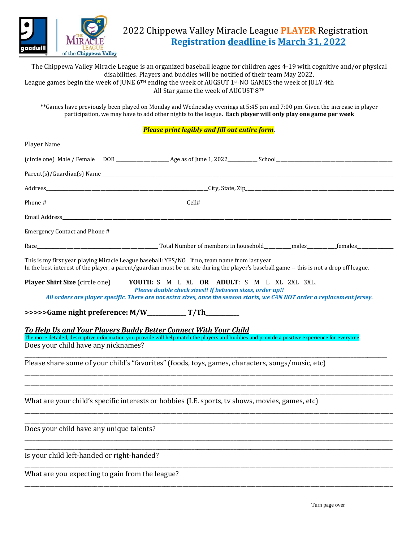

## 2022 Chippewa Valley Miracle League **PLAYER** Registration **Registration deadline is March 31, 2022**

The Chippewa Valley Miracle League is an organized baseball league for children ages 4-19 with cognitive and/or physical disabilities. Players and buddies will be notified of their team May 2022. League games begin the week of JUNE 6TH ending the week of AUGSUT 1st, NO GAMES the week of JULY 4th All Star game the week of AUGUST 8TH

\*\*Games have previously been played on Monday and Wednesday evenings at 5:45 pm and 7:00 pm. Given the increase in player participation, we may have to add other nights to the league. **Each player will only play one game per week**

## *Please print legibly and fill out entire form.*

| Parent(s)/Guardian(s) Name expansion of the contract of the contract of the contract of the contract of the contract of the contract of the contract of the contract of the contract of the contract of the contract of the co                                                |  |  |
|-------------------------------------------------------------------------------------------------------------------------------------------------------------------------------------------------------------------------------------------------------------------------------|--|--|
|                                                                                                                                                                                                                                                                               |  |  |
|                                                                                                                                                                                                                                                                               |  |  |
|                                                                                                                                                                                                                                                                               |  |  |
|                                                                                                                                                                                                                                                                               |  |  |
|                                                                                                                                                                                                                                                                               |  |  |
|                                                                                                                                                                                                                                                                               |  |  |
|                                                                                                                                                                                                                                                                               |  |  |
| In the best interest of the player, a parent/guardian must be on site during the player's baseball game -- this is not a drop off league.                                                                                                                                     |  |  |
| <b>Player Shirt Size</b> (circle one)<br>YOUTH: S M L XL OR ADULT: S M L XL 2XL 3XL.<br>Please double check sizes!! If between sizes, order up!!<br>All orders are player specific. There are not extra sizes, once the season starts, we CAN NOT order a replacement jersey. |  |  |
|                                                                                                                                                                                                                                                                               |  |  |
| <b>To Help Us and Your Players Buddy Better Connect With Your Child</b><br>The more detailed, descriptive information you provide will help match the players and buddies and provide a positive experience for everyone                                                      |  |  |
| Does your child have any nicknames?                                                                                                                                                                                                                                           |  |  |
| Please share some of your child's "favorites" (foods, toys, games, characters, songs/music, etc)                                                                                                                                                                              |  |  |
| What are your child's specific interests or hobbies (I.E. sports, tv shows, movies, games, etc)                                                                                                                                                                               |  |  |
| Does your child have any unique talents?                                                                                                                                                                                                                                      |  |  |
| Is your child left-handed or right-handed?                                                                                                                                                                                                                                    |  |  |
| What are you expecting to gain from the league?                                                                                                                                                                                                                               |  |  |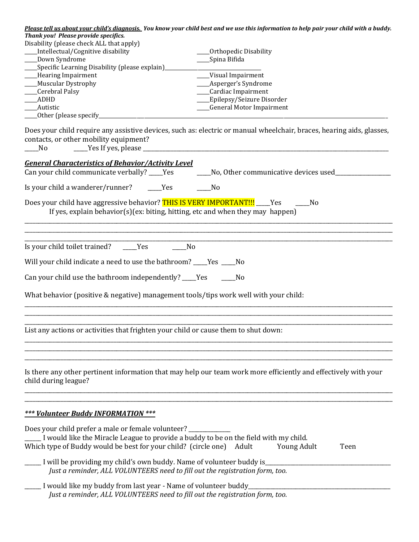| Thank you! Please provide specifics.<br>Disability (please check ALL that apply)<br>Intellectual/Cognitive disability<br>Down Syndrome<br>Specific Learning Disability (please explain)<br>___Hearing Impairment | Please tell us about your child's diagnosis. You know your child best and we use this information to help pair your child with a buddy.<br>Orthopedic Disability<br>Spina Bifida<br>_Visual Impairment |
|------------------------------------------------------------------------------------------------------------------------------------------------------------------------------------------------------------------|--------------------------------------------------------------------------------------------------------------------------------------------------------------------------------------------------------|
| Muscular Dystrophy                                                                                                                                                                                               | ___Asperger's Syndrome                                                                                                                                                                                 |
| Cerebral Palsy                                                                                                                                                                                                   | ___Cardiac Impairment                                                                                                                                                                                  |
| <b>ADHD</b><br>Autistic                                                                                                                                                                                          | ___Epilepsy/Seizure Disorder<br>___General Motor Impairment                                                                                                                                            |
| _Other (please specify_                                                                                                                                                                                          |                                                                                                                                                                                                        |
| contacts, or other mobility equipment?<br>No                                                                                                                                                                     | Does your child require any assistive devices, such as: electric or manual wheelchair, braces, hearing aids, glasses,                                                                                  |
| <b>General Characteristics of Behavior/Activity Level</b>                                                                                                                                                        |                                                                                                                                                                                                        |
| Can your child communicate verbally? ____Yes                                                                                                                                                                     | No, Other communicative devices used                                                                                                                                                                   |
| Is your child a wanderer/runner?<br><b>Yes</b>                                                                                                                                                                   | No                                                                                                                                                                                                     |
| Does your child have aggressive behavior? THIS IS VERY IMPORTANT !!! ____ Yes<br>If yes, explain behavior(s)(ex: biting, hitting, etc and when they may happen)                                                  | No                                                                                                                                                                                                     |
| Is your child toilet trained?<br>Yes                                                                                                                                                                             | N <sub>0</sub>                                                                                                                                                                                         |
| Will your child indicate a need to use the bathroom? ____Yes ____No                                                                                                                                              |                                                                                                                                                                                                        |
| Can your child use the bathroom independently? ____Yes                                                                                                                                                           | No                                                                                                                                                                                                     |
| What behavior (positive & negative) management tools/tips work well with your child:                                                                                                                             |                                                                                                                                                                                                        |
| List any actions or activities that frighten your child or cause them to shut down:                                                                                                                              |                                                                                                                                                                                                        |
| child during league?                                                                                                                                                                                             | Is there any other pertinent information that may help our team work more efficiently and effectively with your                                                                                        |
| *** Volunteer Buddy INFORMATION ***                                                                                                                                                                              |                                                                                                                                                                                                        |
| Does your child prefer a male or female volunteer?<br>I would like the Miracle League to provide a buddy to be on the field with my child.<br>Which type of Buddy would be best for your child? (circle one)     | <b>Young Adult</b><br>Adult<br>Teen                                                                                                                                                                    |
| _ I will be providing my child's own buddy. Name of volunteer buddy is_<br>Just a reminder, ALL VOLUNTEERS need to fill out the registration form, too.                                                          |                                                                                                                                                                                                        |
| I would like my buddy from last year - Name of volunteer buddy<br>Just a reminder, ALL VOLUNTEERS need to fill out the registration form, too.                                                                   |                                                                                                                                                                                                        |